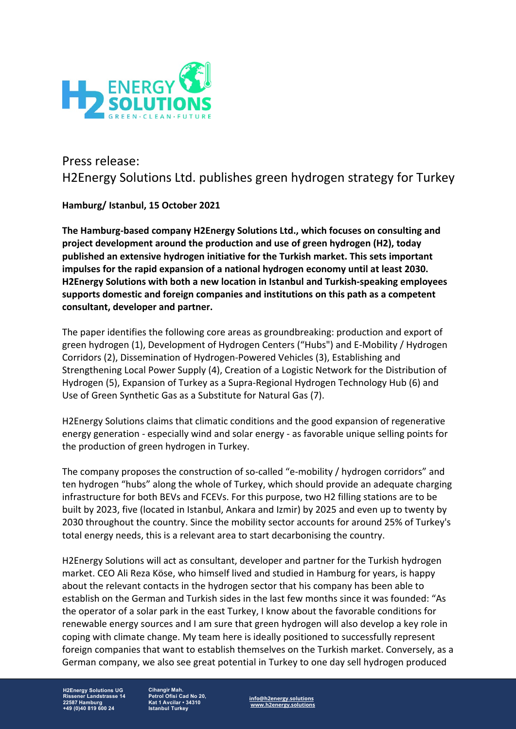

## Press release: H2Energy Solutions Ltd. publishes green hydrogen strategy for Turkey

## **Hamburg/ Istanbul, 15 October 2021**

**The Hamburg-based company H2Energy Solutions Ltd., which focuses on consulting and project development around the production and use of green hydrogen (H2), today published an extensive hydrogen initiative for the Turkish market. This sets important impulses for the rapid expansion of a national hydrogen economy until at least 2030. H2Energy Solutions with both a new location in Istanbul and Turkish-speaking employees supports domestic and foreign companies and institutions on this path as a competent consultant, developer and partner.**

The paper identifies the following core areas as groundbreaking: production and export of green hydrogen (1), Development of Hydrogen Centers ("Hubs") and E-Mobility / Hydrogen Corridors (2), Dissemination of Hydrogen-Powered Vehicles (3), Establishing and Strengthening Local Power Supply (4), Creation of a Logistic Network for the Distribution of Hydrogen (5), Expansion of Turkey as a Supra-Regional Hydrogen Technology Hub (6) and Use of Green Synthetic Gas as a Substitute for Natural Gas (7).

H2Energy Solutions claims that climatic conditions and the good expansion of regenerative energy generation - especially wind and solar energy - as favorable unique selling points for the production of green hydrogen in Turkey.

The company proposes the construction of so-called "e-mobility / hydrogen corridors" and ten hydrogen "hubs" along the whole of Turkey, which should provide an adequate charging infrastructure for both BEVs and FCEVs. For this purpose, two H2 filling stations are to be built by 2023, five (located in Istanbul, Ankara and Izmir) by 2025 and even up to twenty by 2030 throughout the country. Since the mobility sector accounts for around 25% of Turkey's total energy needs, this is a relevant area to start decarbonising the country.

H2Energy Solutions will act as consultant, developer and partner for the Turkish hydrogen market. CEO Ali Reza Köse, who himself lived and studied in Hamburg for years, is happy about the relevant contacts in the hydrogen sector that his company has been able to establish on the German and Turkish sides in the last few months since it was founded: "As the operator of a solar park in the east Turkey, I know about the favorable conditions for renewable energy sources and I am sure that green hydrogen will also develop a key role in coping with climate change. My team here is ideally positioned to successfully represent foreign companies that want to establish themselves on the Turkish market. Conversely, as a German company, we also see great potential in Turkey to one day sell hydrogen produced

**H2Energy Solutions UG Rissener Landstrasse 14 22587 Hamburg +49 (0)40 819 600 24**

**Cihangir Mah. Petrol Ofisi Cad No 20, Kat 1 Avcilar • 34310 Istanbul Turkey**

**info@h2energy.solutions www.h2energy.solutions**